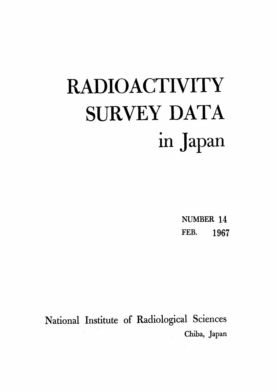# **RADIOACTIVITY SURVEY DATA** in Japan

NUMBER 14 FEB. 1967

National Institute of Radiological Sciences Chiba, Japan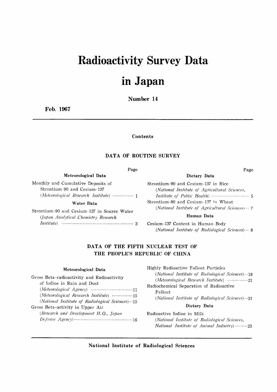# **Radioactivity Survey Data**

# in Japan

Number 14

Feb. 1967

Contents

#### DATA OF ROUTINE SURVEY

#### Page

Meteorological Data

Monthly and Cumulative Deposits of Strontium-90 and Cesium-137 (Meteorological Research Institute) ............... 1

#### Water Data

Strontium-90 and Cesium-137 in Source Water (Japan Analytical Chemistry Research 

| Dietary Data                                  |  |
|-----------------------------------------------|--|
| Strontium-90 and Cesium-137 in Rice           |  |
| (National Institute of Agricultural Sciences) |  |

Page

(National Institute of Agricultural Sciences, Strontium-90 and Cesium-137 in Wheat (National Institute of Agricultural Sciences) ··· 7

#### Human Data

Cesium-137 Content in Human Body (National Institute of Radiological Sciences) ... 8

#### DATA OF THE FIFTH NUCLEAR TEST OF THE PEOPLE'S REPUBLIC OF CHINA

#### Meteorological Data

| Gross Beta-radioactivity and Radioactivity      |
|-------------------------------------------------|
| of Iodine in Rain and Dust                      |
|                                                 |
| (Meteorological Research Institute) 15          |
| (National Institute of Radiological Sciences)15 |
| Gross Beta-activity in Upper Air                |
| (Research and Development H.Q., Japan           |
|                                                 |
|                                                 |

Highly Radioactive Fallout Particles (National Institute of Radiological Sciences) ... 18 (Meteorological Research Institute) ................21 Radiochemical Separation of Radioactive Fallout (National Institute of Radiological Sciences) ... 21

#### Dietary Data

Radioactive Iodine in Milk (National Institute of Radiological Sciences, National Institute of Animal Industry) .........23

National Institute of Radiological Sciences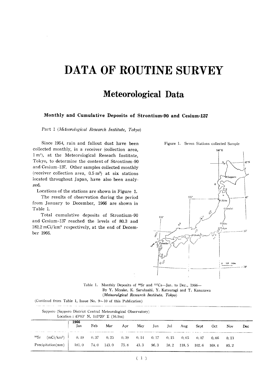# DATA OF ROUTINE SURVEY

# **Meteorological Data**

#### Monthly and Cumulative Deposits of Strontium-90 and Cesium-137

Part 1 (Meteorological Research Institute, Tokyo)

Since 1954, rain and fallout dust have been collected monthly, in a receiver (collection area, 1 m<sup>2</sup>), at the Meteorological Reseach Institnte, Tokyo, to determine the content of Strontinm-90 and Cesium-137. Other samples collected monthly (receiver collection area,  $0.5 \text{ m}^2$ ) at six stations located throughout Japan, have also been analyzed.

Locations of the stations are shown in Figure 1.

The results of observation during the period from January to December, 1966 are shown in Table 1.

Total cumulative deposits of Strontium-90 and Cesium-137 reached the levels of 80.3 and 182.2 mCi/km<sup>2</sup> respectively, at the end of December 1966.



Table 1. Monthly Deposits of <sup>90</sup>Sr and <sup>137</sup>Cs-Jan. to Dec., 1966-By Y. Miyake, K. Saruhashi, Y. Katsuragi and T. Kanazawa (Meteorolgical Research Institute, Tokyo)

(Continud from Table 1, Issue No.  $9 \sim 10$  of this Publication)

| Sapporo (Sapporo District Central Meteorological Observatory) | Location: 43°03' N, 141°20' E (16.9m) |      |       |      |      |      |      |       |             |       |       |     |
|---------------------------------------------------------------|---------------------------------------|------|-------|------|------|------|------|-------|-------------|-------|-------|-----|
|                                                               | 1966<br>Jan                           | Feb  | Mar   | Apr  | May  | Jun  | Jul  | Aug   | <b>Sept</b> | Oct   | Nov   | Dec |
| $^{90}Sr$<br>(mCi/km <sup>2</sup> )                           | 0.49                                  | 0,37 | 0, 25 | 0.39 | 0.14 | 0.17 | 0.15 | 0.05  | 0.07        | 0.06  | -0.13 |     |
| Precipitation(mm)                                             | 181.0                                 | 74.0 | 143.0 | 75.8 | 43.3 | 96.3 | 58.2 | 118.5 | 102.6       | 169.4 | 85.2  |     |

Figure 1. Seven Stations collected Sample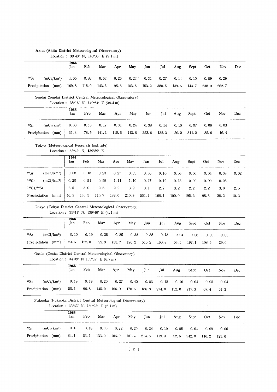|                                                                            |             |                 | Location : $39^{\circ}43'$ N, $140^{\circ}06'$ E (9.1 m)          |       |          |       |       |       |       |       |       |      |
|----------------------------------------------------------------------------|-------------|-----------------|-------------------------------------------------------------------|-------|----------|-------|-------|-------|-------|-------|-------|------|
|                                                                            | 1966<br>Jan | Feb             | Mar                                                               | Apr   | May      | Jun   | Jul   | Aug   | Sept  | Oct   | Nov   | Dec  |
| 90Sr<br>(mCi/km <sup>2</sup> )                                             | 1.05        | 0.83            | 0.53                                                              | 0.25  | $0.23 -$ | 0.31  | 0.27  | 0.14  | 0.10  | 0.09  | 0.29  |      |
| Precipitation (mm)                                                         | 169.8       | 118.0           | 143.5                                                             | 95.6  | 103.6    | 153.2 | 380.5 | 139.6 | 143.7 | 238.0 | 262.7 |      |
| Sendai (Sendai District Central Meteorological Observatory)                |             |                 |                                                                   |       |          |       |       |       |       |       |       |      |
|                                                                            |             |                 | Location: 38°16' N, 140°54' F (38.4 m)                            |       |          |       |       |       |       |       |       |      |
|                                                                            | 1966<br>Jan | Feb             | Mar                                                               | Apr   | May      | Jun   | Jul   | Aug   | Sept  | Oct   | Nov   | Dec  |
| (mCi/km <sup>2</sup> )<br>90Sr                                             | 0.08        | 0.18            | 0.17                                                              | 0.31  | 0.24     | 0.38  | 0.14  | 0.10  | 0.07  | 0.06  | 0.03  |      |
| Precipitation (mm)                                                         | 31.3        | 78.5            | 141.1                                                             | 118.6 | 113.6    | 252.6 | 132.3 | 50.2  | 311.2 | 85.6  | 16.4  |      |
| Tokyo (Meteorological Research Institute)<br>Location: 35°42' N, 139°39' E |             |                 |                                                                   |       |          |       |       |       |       |       |       |      |
|                                                                            | 1966<br>Jan | Feb             | Mar                                                               | Apr   | May      | Jun   | Jul   | Aug   | Sept  | Oct   | Nov   | Dec  |
| 90Sr<br>(mCi/km <sup>2</sup> )                                             | 0.08        | 0.18            | 0.23                                                              | 0.27  | 0.35     | 0.36  | 0.10  | 0.06  | 0.06  | 0.04  | 0.03  | 0.02 |
| $137C_S$<br>(mCi/km <sup>2</sup> )                                         | 0.20        | 0.54            | 0.59                                                              | 1.11  | 1.10     | 0.27  | 0.19  | 0.13  | 0.09  | 0.09  | 0.05  |      |
| 137Cs/99Sr                                                                 | 2.5         | 3.0             | 2.6                                                               | 2.2   | 3.2      | 3.1   | 2.7   | 3.2   | 2.2   | 2.2   | 3.0   | 2.5  |
| Precipitation (mm)                                                         | 46.5        | 140.5           | 110.7                                                             | 138.0 | 210.9    | 551.7 | 166.1 | 100.0 | 195.2 | 98.3  | 28.2  | 10.2 |
| Tokyo (Tokyo District Central Meteorological Observatory)                  |             |                 | Location: $35^{\circ}41'$ N, $139^{\circ}46'$ E $(4.1 \text{ m})$ |       |          |       |       |       |       |       |       |      |
|                                                                            | 1966<br>Jan | Feb             | Mar                                                               | Apr   | May      | Jun   | Jul   | Aug   | Sept  | Oct   | Nov   | Dec  |
| 90Sr<br>(mCi/km <sup>2</sup> )                                             | 0, 10       | 0.19            | 0.28                                                              | 0.25  | 0.32     | 0.38  | 0.13  | 0.04  | 0.06  | 0.05  | 0.05  |      |
| Precipitation (mm)                                                         | 23.6        | 122.0           | 99.9                                                              | 133.7 | 196.2    | 510.2 | 160.8 | 54.5  | 197.1 | 108.5 | 29.0  |      |
| Osaka (Osaka District Central Meteorological Obsevatory)                   |             |                 | Location: 34°39′ N 135°32′ E (6.7 m)                              |       |          |       |       |       |       |       |       |      |
|                                                                            | 1966<br>Jan | ${\rm \bf Feb}$ | Mar                                                               | Apr   | May      | Jun   | Jul   | Aug   | Sept  | Oct   | Nov   | Dec  |
| 90Sr<br>(mCi/km <sup>2</sup> )                                             | 0.19        | 0.19            | 0.20                                                              | 0, 27 | 0.40     | 0.03  | 0.12  | 0.10  | 0.04  | 0.05  | 0.04  |      |
| Precipitation (mm)                                                         | 55.1        | 96.8            | 145.0                                                             | 106.9 | 170.5    | 186.8 | 274.0 | 132.0 | 217.3 | 67.4  | 54.3  |      |
| Fukuoka (Fukuoka District Central Meteorological Obesrvatory)              |             |                 | Location: 35°35' N, 130°23' E (2.1 m)                             |       |          |       |       |       |       |       |       |      |
|                                                                            | 1966<br>Jan | Feb             | Mar                                                               | Apr   | May      | Jun   | Jul   | Aug   | Sept  | Oct   | Nov   | Dec  |
| 90Sr<br>(mCi/km <sup>2</sup> )                                             | 0.15        | 0, 18           | 0, 30                                                             | 0.22  | 0.25     | 0.28  | 0.10  | 0.08  | 0.04  | 0.09  | 0.06  |      |
| Precipitation (mm)                                                         | 34.1        | 53.1            | 133.0                                                             | 106.9 | 101.4    | 214.8 | 119.9 | 52.6  | 342.0 | 110.2 | 123.6 |      |

### Akita (Akita District Meteorological Observatory)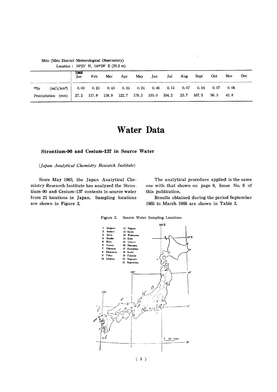|                    |              | 1966<br>Jan | Feb | Mar | Apr | May | Jun | Jul                                                 | Aug  | Sept Oct |               | Nov  | Dec |
|--------------------|--------------|-------------|-----|-----|-----|-----|-----|-----------------------------------------------------|------|----------|---------------|------|-----|
| $^{90}\mathrm{Sr}$ | $(mCi/km^2)$ | 0.03        |     |     |     |     |     | $0.23$ $0.43$ $0.34$ $0.24$ $0.46$ $0.11$           | 0.07 |          | $0.04$ $0.07$ | 0.06 |     |
| Precipitation      | (mm)         |             |     |     |     |     |     | 27.2 137.8 138.9 122.7 178.3 310.0 104.2 25.7 167.5 |      |          | 96.3          | 42.8 |     |

### Mito (Mito District Meteorological Observatory)

Location:  $36^{\circ}23'$  N,  $140^{\circ}28'$  E (29.2 m)

# **Water Data**

#### Strontium-90 and Cesium-137 in Source Water

(Japan Analytical Chemistry Research Institute)

Since May 1963, the Japan Analytical Chemistry Research Institute has analyzed the Strontium-90 and Cesium-137 contents in source water from 21 locations in Japan. Sampling locations are shown in Figure 2.

The analytical procedure applied is the same one with that shown on page 9, Issue No. 6 of this publication.

Results obtained during the period September 1965 to March 1966 are shown in Table 2.



Figure 2. Source Water Sampling Locations

 $(3)$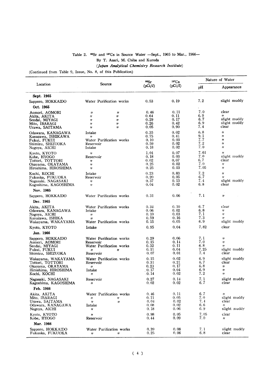#### Table 2.  $^{90}$ Sr and <sup>137</sup>Cs in Source Water -Sept., 1965 to Mar., 1966-

By T. Asari, M. Chiba and Kuroda

#### (Japan Analytical Chemistry Research Institute)

(Continued from Table 9, Issue, No. 8, of this Publication)

|                                            |                                                                       | 90Sr<br>(pCi/l) | 137C <sub>S</sub><br>(pCi/l) | Nature of Water |                                            |
|--------------------------------------------|-----------------------------------------------------------------------|-----------------|------------------------------|-----------------|--------------------------------------------|
| Location                                   | Source                                                                |                 |                              | pН              | Appearance                                 |
| Sept. 1965                                 |                                                                       |                 |                              |                 |                                            |
| Sapporo, HOKKAIDO                          | Water Purification works                                              | 0.53            | 0.19                         | 7.2             | slight muddy                               |
| Oct. 1965                                  |                                                                       |                 |                              |                 |                                            |
| Aomori, AOMORI                             | $\boldsymbol{\eta}$<br>"                                              | 0.46            | 0.11                         | 7.0             | clear                                      |
| Akita, AKITA<br>Sendai, MIYAGI             | 11<br>11<br>$\boldsymbol{\eta}$<br>$^{\prime\prime}$                  | 0.64<br>0.29    | 0.11<br>0.17                 | 6.9<br>6.7      | $^{\prime\prime}$<br>slight muddy          |
| Mito, IBARAGI                              | 11<br>"                                                               | 0.26            | 0.42                         | 6.9             | slight muddy                               |
| Urawa, SAITAMA                             | $\boldsymbol{\eta}$<br>$^{\prime\prime}$                              | 0.05            | 0.90                         | 7.4             | clear                                      |
| Odawara, KANAGAWA<br>Kanazawa, ISHIKAWA    | Intake<br>11                                                          | 0.35<br>0.75    | 0.02<br>0.41                 | 6, 8<br>9.1     | $^{\prime\prime}$<br>11                    |
| Fukui, FUKUI                               | Water Purification works                                              | 0.10            | 0.03                         | 7.7             | $^{\prime\prime}$                          |
| Shimizu, SHIZUOKA                          | Reservoir                                                             | 0.59<br>0.18    | 0.02<br>0.02                 | 7.2<br>7.0      | $^{\prime\prime}$<br>$^{\prime\prime}$     |
| Nagoya, AICHI                              | Intake<br>$\boldsymbol{\eta}$                                         | 1.01            | 0.07                         | 7.61            | $^{\prime\prime}$                          |
| Kyoto, KYOTO<br>Kobe, HYOGO                | Reservoir                                                             | 0.18            | 0.03                         | 7.0             | slight muddy                               |
| Tottori, TOTTORI                           | $^{\prime\prime}$                                                     | 0.02            | 0.07                         | 6, 7            | clear                                      |
| Okayama, OKAYAMA<br>Hiroshima, HIROSHIMA   | $^{\prime\prime}$<br>$^{\prime\prime}$                                | 0.25<br>0.25    | 0.02<br>0.03                 | 7.0<br>7.05     | $^{\prime\prime}$<br>11                    |
| Kochi, KOCHI                               | Intake                                                                | 0.23            | 0.83                         | 7.2             | 11                                         |
| Fukuoka, FUKUOKA                           | Reservoir                                                             | 0, 20           | 0.05                         | 6.7             | 11                                         |
| Nagasaki, NAGASAKI<br>Kagoshima, KAGOSHIMA | $^{\prime\prime}$<br>$^{\prime\prime}$                                | 0.37<br>0.04    | 0.13<br>0.02                 | 7.4<br>6.8      | slight muddy<br>clear                      |
| Nov. 1965                                  |                                                                       |                 |                              |                 |                                            |
| Sapporo, HOKKAIDO                          | Water Purification works                                              | 0.31            | 0.06                         | 7.1             | $^{\prime\prime}$                          |
| Dec. 1965                                  |                                                                       |                 |                              |                 |                                            |
| Akita, AKITA                               | Water Purification works                                              | 0.34            | 0.10                         | 6.7             | clear                                      |
| Odawara, KANAGAWA                          | Intake                                                                | 0.06            | 0.02                         | 6.8             | 11                                         |
| Nagoya, AICHI<br>Kanazawa, ISHIKA          | 11<br>$\boldsymbol{\eta}$                                             | 0, 10<br>0.59   | 0.03<br>0.16                 | 7. 1<br>7.3     | $\pmb{\eta}$<br>11                         |
| Wakayama, WAKAYAMA                         | Water Purification works                                              | 0.15            | 0.05                         | 6.9             | slight muddy                               |
| Kyoto, KYOTO                               | Intake                                                                | 0.95            | 0.04                         | 7.82            | clear                                      |
| Jan. 1966                                  |                                                                       |                 |                              |                 |                                            |
| Sapporo, HOKKAIDO                          | Water Purification works                                              | 0.29            | 0.06                         | 7.1<br>7.0      | 11                                         |
| Aomori, AOMORI<br>Sendai, MIYAGI           | Reservoir<br>Water Purification works                                 | 0.15<br>0.32    | 0.14<br>0. 11                | 6.8             | $^{\prime\prime}$<br>$\boldsymbol{\theta}$ |
| Fukui, FUKUI                               | $\boldsymbol{\eta}$<br>"                                              | 0.11            | 0.04                         | 7.25            | slight muddy                               |
| Shimizu, SHIZUOKA                          | Reservoir                                                             | 0.07            | 0.01                         | 7.4             | clear                                      |
| Wakayama, WAKAYAMA<br>Tottori, TOTTORI     | Water Purification works<br>Reservoir                                 | 0.15<br>0.31    | 0.02<br>0.21                 | 6.9<br>6.7      | slight muddy<br>clear                      |
| Okayama, OKAYAMA                           | $^{\prime\prime}$                                                     | 0, 23           | 0.17                         | 6.8             | $\boldsymbol{\eta}$                        |
| Hiroshima, HIROSHIMA                       | Intake                                                                | 0.17<br>0.14    | 0.04<br>0.02                 | 6.9<br>7.2      | $\boldsymbol{\eta}$<br>$^{\prime\prime}$   |
| Kochi, KOCHI                               | $^{\prime\prime}$                                                     | 0.27            | 0.14                         | 7.1             | slight muddy                               |
| Nagasaki, NAGASAKI<br>Kagoshima, KAGOSHIMA | Reservoir<br>11                                                       | 0,02            | 0.02                         | 6.7             | clear                                      |
| Feb. 1966                                  |                                                                       |                 |                              |                 |                                            |
| Akita, AKITA                               | Water Purification works                                              | 0.46            | 0.11                         | 6.7             | $^{\prime\prime}$                          |
| Mito, IBARAGI<br>Urawa, SAITAMA            | 11<br>$^{\prime\prime}$<br>$\boldsymbol{\eta}$<br>$\boldsymbol{\eta}$ | 0.11<br>0.04    | 0.05<br>0.02                 | 7.0<br>7.4      | slight muddy<br>clear                      |
| Odawara, KANAGAWA                          | Intake                                                                | 0.08            | 0.02                         | 6.6             | $^{\prime\prime}$                          |
| Nagoya, AICHI                              | $^{\prime\prime}$                                                     | 0.18            | 0.06                         | 6.9             | slight muddy                               |
| Kyoto, KYOTO<br>Kobe, HYOGO                | $^{\prime\prime}$<br>Reservoir                                        | 0.98<br>0.44    | 0.05<br>0.09                 | 7.05<br>7.0     | clear<br>11                                |
| Mar. 1966                                  |                                                                       |                 |                              |                 |                                            |
| Sapporo, HOKKAIDO                          | Water Purification works                                              | 0.39            | 0.08                         | 7.1             | slight muddy                               |
| Fukuoka, FUKUOKA                           | $^{\prime\prime}$<br>11                                               | 0.25            | 0.06                         | 6.8             | clear                                      |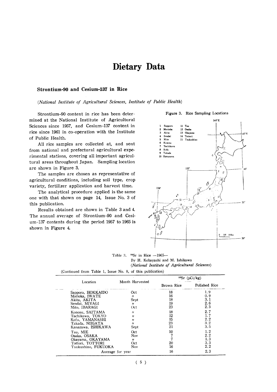### Dietary Data

#### Strontium-90 and Cesium-137 in Rice

(National Institute of Agricultural Sciences, Institute of Public Health)

Strontium-90 content in rice has been determined at the National Institute of Agricultural Sciences since 1957, and Cesium-137 content in rice since 1961 in co-operation with the Institute of Public Health.

All rice samples are collected at, and sent from national and prefectural agricultural experimental stations, covering all important agricultural areas throughout Japan. Sampling location are shown in Figure 3.

The samples are chosen as representative of agricultural conditions, including soil type, crop variety, fertilizer application and harvest time.

The analytical procedure applied is the same one with that shown on page 14, Issue No. 3 of this publication.

Results obtained are shown in Table 3 and 4. The annual average of Strontium-90 and Cesium-137 contents during the period 1957 to 1965 is shown in Figure 4.

#### $140^\circ$ E Sapport  $\mathbf{1}$ 11 Tsu Morioka 12 Osaka  $\overline{2}$  $\overline{\mathbf{3}}$ Akita 13 Okavam **Sendai** 14 Tottori  $\overline{5}$ Mito 15 Tsukushin  $6\phantom{a}$ Konosu  $\overline{7}$ Tachikaw 8 Kofu  $\overline{9}$ Takada 10 Kanazawa 130 35  $_{\circ}$   $\mathcal{O}$  $100 - 200k$  $\frac{0}{1}$

Table 3. <sup>90</sup>Sr in Rice --1965--By H. Kobayashi and M. Ishikawa (National Institute of Agricultural Sciences)

|                     |                   | ‱Sr                                                              | (pCi/kg)      |
|---------------------|-------------------|------------------------------------------------------------------|---------------|
| Location            | Month Harvested   | Brown Rice<br>18<br>16<br>18<br>19<br>23<br>18<br>12<br>15<br>23 | Polished Rice |
| Sapporo, HOKKAIDO   | Oct               |                                                                  | 1.9           |
| Morioka, IWATE      | $^{\prime\prime}$ |                                                                  | 0.9           |
| Akita, AKITA        | Sept              |                                                                  | 3. 1          |
| Sendai, MIYAGI      | 11                |                                                                  | 2.6           |
| Mito, IBARAGI       | Oct               |                                                                  | 2.3           |
| Konosu, SAITAMA     | $^{\prime\prime}$ |                                                                  | 2.7           |
| Tachikawa, TOKYO    | $^{\prime\prime}$ |                                                                  | 1.7           |
| Kofu, YAMANASHI     | $^{\prime\prime}$ |                                                                  | 2.2           |
| Takada, NIIGATA     | 11                |                                                                  | 3.2           |
| Kanazawa, ISHIKAWA  | Sept              | 21                                                               | 3.5           |
| Tsu, MIE            | Oct               | 10                                                               | 1.2           |
| Osaka, OSAKA        | Nov               |                                                                  | 2.2           |
| Okayama, OKAYAMA    | $^{\prime\prime}$ |                                                                  | 1.3           |
| Tottori, TOTTORI    | Oct               | 20                                                               | 3.3           |
| Tsukushino, FUKUOKA | Nov               | 16                                                               | 2.2           |
| Average for year    |                   | 16                                                               | 2.3           |

(Continued from Table 1, Issue No. 8, of this publication)

#### Figure 3. Rice Sampling Locations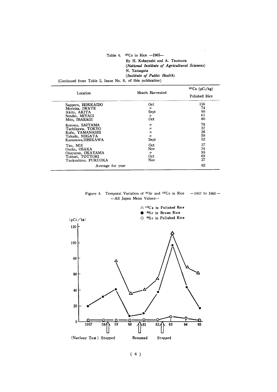|                                                            | Table 4. $137Cs$ in Rice $-1965-$             |
|------------------------------------------------------------|-----------------------------------------------|
|                                                            | By H. Kobayashi and A. Tsumura                |
|                                                            | (National Institute of Agricultural Sciences) |
|                                                            | N. Yamagata                                   |
|                                                            | (Institute of Public Health)                  |
| (Continued from Table 2, Issue No. 8, of this publication) |                                               |

|                     |                   | $137Cs$ (pCi/kg) |
|---------------------|-------------------|------------------|
| Location            | Month Harvested   | Polished Rice    |
| Sapporo, HOKKAIDO   | Oct               | 116              |
| Morioka, IWATE      | $^{\prime\prime}$ | 74               |
| Akita, AKITA        | Sept              | 90               |
| Sendai, MIYAGI      | "                 | 61               |
| Mito, IBARAGI       | Oct               | 80               |
| Konosu, SAITAMA     | $^{\prime\prime}$ | 78               |
| Tachikawa, TOKYO    | "                 | 37               |
| Kofu, YAMANASHI     | Ħ                 | 36               |
| Takada, NIIGATA     | "                 | 59               |
| Kanazawa, ISHIKAWA  | Sept              | 52               |
| Tsu, MIE            | Oct               | 37               |
| Osaka, OSAKA        | Nov               | 24               |
| Okayama, OKAYAMA    | ,,                | 93               |
| Tottori, TOTTORI    | Oct               | 69               |
| Tsukushino. FUKUOKA | Nov               | 27               |
| Average for year    |                   | 62               |

Figure 4. Temporal Variation of  $90\,\text{Sr}$  and  $137\,\text{Cs}$  in Rice  $-1957$  to  $1965-$ -- All Japan Mean Values-

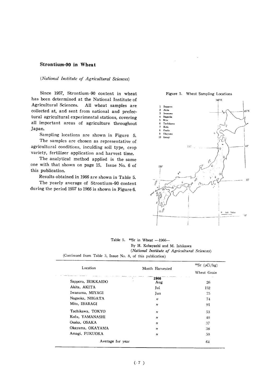#### Strontium-90 in Wheat

#### (National Institute of Agricultural Sciences)

Since 1957, Strontium-90 content in wheat has been determined at the National Institute of Agricultural Sciences. All wheat samples are collected at, and sent from national and prefectural agricultural experimental stations, covering all important areas of agriculture throughout Japan.

Sampling locations are shown in Figure 5. The samples are chosen as representative of agricultural conditions, inculding soil type, crop

variety, fertilizer application and harvest time. The analytical method applied is the same one with that shown on page 15, Issue No. 6 of this publication.

Results obtained in 1966 are shown in Table 5.

The yearly average of Strontium-90 content during the period 1957 to 1966 is shown in Figure 6.



Table 5.  $\text{ }^{90}\text{Sr}$  in Wheat -1966-By H. Kobayashi and M. Ishikawa (National Institute of Agricultural Sciences) (Continued from Table 3, Issue No. 8, of this publication)

| Location          | Month Harvested   | $90Sr$ (pCi/kg) |
|-------------------|-------------------|-----------------|
|                   |                   | Wheat Grain     |
| Sapporo, HOKKAIDO | 1966<br>Aug       | 26              |
| Akita, AKITA      | Jul               | 152             |
| Iwanuma, MIYAGI   | Jun               | 75              |
| Nagaoka, NIIGATA  | "                 | 74              |
| Mito, IBARAGI     | $^{\prime\prime}$ | 91              |
| Tachikawa, TOKYO  | $^{\prime\prime}$ | 53              |
| Kofu, YAMANASHI   | $^{\prime\prime}$ | 40              |
| Osaka, OSAKA      | $\boldsymbol{u}$  | 37              |
| Okayama, OKAYAMA  | $^{\prime\prime}$ | 38              |
| Amagi, FUKUOKA    | $^{\prime\prime}$ | 50              |
| Average for year  |                   | 64              |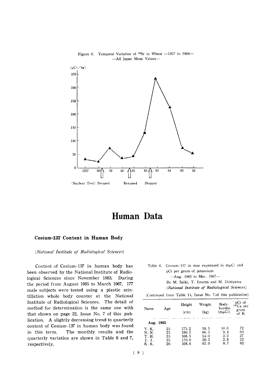



## Human Data

#### Cesium-137 Content in Human Body

(National Institute of Radiological Sciences)

Content of Cesium-137 in human body has been observed by the National Institute of Radiological Sciences since November 1963. During the period from August 1965 to March 1967, 177 male subjects were tested using a plastic scintillation whole body counter at the National Institute of Radiological Sciences. The detail of method for determination is the same one with that shown on page 22, Issue No. 7 of this publication. A slightly decreasing trend to quarterly content of Cesium-137 in human body was found The monthly results and the in this term. quarterly variation are shown in Table 6 and 7, respectively.

|                           | Table 6. Cesium-137 in man expressed in muCi and |  |  |  |  |  |  |  |
|---------------------------|--------------------------------------------------|--|--|--|--|--|--|--|
| pCi per gram of potassium |                                                  |  |  |  |  |  |  |  |
|                           | -Aug. 1965 to Mar. 1967-                         |  |  |  |  |  |  |  |

By M. Saiki, T. Iinuma and M. Uchiyama (National Institute of Radiological Sciences)

| (Continued from Table 14, Issue No. 7.of this publication) |  |  |  |  |  |  |
|------------------------------------------------------------|--|--|--|--|--|--|
|------------------------------------------------------------|--|--|--|--|--|--|

| Name<br>Age                    |    | Height<br>(cm) | Weight<br>(kg) | Body-<br>burden<br>$(m\mu Ci)$ | pCi of<br>$137Cs$ per<br>gram<br>of K |
|--------------------------------|----|----------------|----------------|--------------------------------|---------------------------------------|
| <b>CONTRACTOR</b><br>Aug. 1965 |    |                |                |                                |                                       |
| Y.K.                           | 23 | 173.2          | 58.5           | 10.0                           | 72                                    |
| N.N.                           | 23 | 180. 5         | 86.5           | 9.4                            | 60                                    |
| Т.Н.                           | 25 | 168.5          | 54.0           | 3.3                            | 27                                    |
| 1.1.                           | 25 | 170. 0         | 59.5           | 2.8                            | 22                                    |
| K. K.                          | 26 | 168.6          | 61.0           | 8.7                            | 62                                    |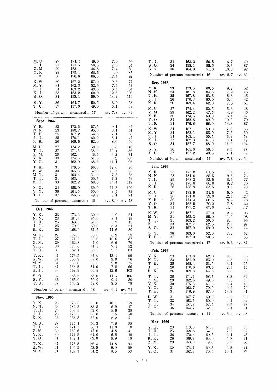| M. U.                               | 27       | 174.4                          | 49.0          | 7.0              | 60           | T. I.                                   | 31           |    | 163.2                           | 50.5         | 6.7                | 49            |  |
|-------------------------------------|----------|--------------------------------|---------------|------------------|--------------|-----------------------------------------|--------------|----|---------------------------------|--------------|--------------------|---------------|--|
| T.I.                                | 27       | 171.5                          | 58.5          | 7.5              | 64           | S.0.                                    | 34           |    | 158.1                           | 58.5         | 10, 6              | 87            |  |
| Z.M.<br>$\mathbf Y$ . $\mathbf K$ . | 29<br>29 | 163.1<br>175.1                 | 46.5<br>60.5  | 7.4<br>4.9       | 89<br>35     | S.Y.                                    | 36           |    | 164.0                           | 51.0         | 10.6               | 92            |  |
| T.K.                                | 30       | 176.6                          | 66.5          | 12.4             | 92           |                                         |              |    | Number of persons measured : 16 |              | av. 8.7 av. 61     |               |  |
| K.W.<br>M. Y.                       | 30<br>31 | 167.2<br>162.3                 | 57.0<br>52.5  | 9.3<br>7.5       | 77<br>57     | Dec. 1965                               |              |    |                                 |              |                    |               |  |
| T. I.                               | 31       | 163.2                          | 49.5          | 6.4              | 54           | Y.K.<br>N. N.                           | 23<br>23     |    | 173.5                           | 60.5         | 8.2                | 52            |  |
| K.I.<br>S.O.                        | 33<br>34 | 163.2<br>158.1                 | 60.0<br>59.0  | 12.3<br>13.2     | 100<br>119   | T.H.                                    | 25           |    | 181.8<br>167.6                  | 84.5<br>53.5 | 7.2<br>5.6         | 46<br>45      |  |
| S.Y.                                | 36       | 164.7                          | 50.5          | 6.0              | 53           | ${\bf J}$ . ${\bf I}$ .<br>K.K.         | 26           |    | 170.3                           | 60.0         | 5.4                | 42            |  |
| T.U.                                | 37       | 157.0                          | 49.0          | 5.1              | 48           | M.U.                                    | 26<br>27     |    | 169.4<br>174.4                  | 62.0<br>52.5 | 7.6<br>5.6         | 51<br>48      |  |
|                                     |          | Number of persons measured: 17 |               | av. 7.8 av. 64   |              | Z.M.                                    | 29           |    | 162.2                           | 47.5         | 4.9                | 45            |  |
| Sept. 1965                          |          |                                |               |                  |              | Y.K.<br>Y.O.                            | 30<br>31     |    | 174.5<br>162.6                  | 60.0<br>69.0 | 6.4<br>10.2        | 47<br>79      |  |
| Y.K.                                | 23       | 173.5                          | 57.5          | 9.1              | 65           | T.K.                                    | 31           |    | 176.8                           | 68.0         | 13.3               | 87            |  |
| N.N.                                | 23       | 180.7                          | 85.0          | 8.1              | 51           | . K.W.<br>M.Y.                          | 31<br>31     |    | 167.1<br>162.1                  | 59.0<br>55.0 | 7.8<br>7.5         | 56<br>50      |  |
| T.H.<br>$J \cdot I$ .               | 25<br>25 | 167.2<br>170.1                 | 54.5<br>60, 0 | 7.1<br>6.1       | 56<br>47     | T.I.                                    |              | 31 | 163.1                           | 50.5         | 6.9                | 58            |  |
| K.K.                                | 26       | 168.6                          | 62.0          | 8.0              | 56           | K.I.<br>S.0.                            |              | 33 | 162.3                           | 61.0         | 8.1                | 49            |  |
| M. U.                               | 27       | 174.2                          | 50.0          | 5.6              | 48           | S. Y.                                   | 34           | 36 | 157.7<br>165.0                  | 58.0<br>50.5 | 11.2<br>9.5        | 104<br>77     |  |
| T.I.<br>Z.M.                        | 27<br>29 | 171.5<br>162.3                 | 58.0<br>46.5  | 10, 4<br>6.2     | 86<br>71     | T.U.                                    |              | 37 | 157.2                           | 49.5         | 7.1                | 62            |  |
| Y.K.                                | 30       | 174.6                          | 61.5          | 8.2              | 60           |                                         |              |    | Number of Persons measured: 17  |              | av. 7.8 av. 54     |               |  |
| Y.O.<br>T.K.                        | 31<br>31 | 162.0<br>176.6                 | 68.5<br>66.6  | 11.1<br>12.6     | 95<br>90     |                                         | Jan. 1966    |    |                                 |              |                    |               |  |
| K.W.                                | 30       | 166.5                          | 57.5          | 10, 7            | 90           | Y.K.                                    | 23           |    | 173.8                           | 61.5         | 11.1               | 73            |  |
| M.Y.<br>T.I.                        | 31<br>31 | 162.3<br>163.4                 | 54.0<br>50.5  | 7.5<br>7.2       | 58<br>59     | N. N.                                   | 23           |    | 181.0                           | 85.5         | 9.5                | 73            |  |
| K.I.                                | 33       | 162.2                          | 60.0          | 14.4             | 119          | T.H.<br>$J$ . $I$ .                     | 25           | 26 | 168.3<br>170.8                  | 53.5<br>60.0 | 8.1<br>8.2         | 77<br>70      |  |
| S.C.                                | 34       | 158.0                          | 59.0          | 11.5             | 109          | $K$ . $K$ .                             |              | 26 | 168.9                           | 63.5         | 9.1                | 73            |  |
| S.Y.<br>T.U.                        | 36<br>37 | 164.5<br>156.8                 | 50.0<br>49.2  | 8.5<br>8.1       | 73<br>74     | M. U.<br>T.I.                           | $27\,$<br>28 |    | 173.9<br>171.0                  | 51.5<br>59.0 | 5.0<br>12.1        | 42            |  |
|                                     |          | Number of persons measured: 18 |               | av. $8.9$ a.v 73 |              | Y.K.                                    | $\sim$<br>30 |    | 174.4                           | 60.5         | 8.4                | 123<br>78     |  |
|                                     |          |                                |               |                  |              | Y.O.<br>T.K.                            | 31<br>31     |    | 162.5<br>177.2                  | 70.0<br>67.0 | 7.8<br>14.4        | 62<br>117     |  |
| Oct. 1965<br>Y.K.                   | 23       | 173.2                          | 60.0          | 9.0              | 61           | K.W.                                    | 31           |    | 167.1                           | 57.0         | 12.4               | 103           |  |
| N.N.                                | 23       | 181.6                          | 85.0          | 8.1              | 49           | M.Y.<br>T.I.                            | 31<br>31     |    | 162.2<br>163.2                  | 55.0<br>50.0 | 11.2<br>8.6        | 98<br>96      |  |
| T.H.<br>J.I.                        | 25<br>25 | 168.3<br>170.0                 | 54.0<br>60.0  | 5.7<br>6.3       | 45<br>51     | K. I.                                   | 33           |    | 162.7                           | 62.5         | 12.4               | 97            |  |
| K.K.                                | 26       | 168.9                          | 61.5          | 11.6             | 80           | S.0.                                    | 34           |    | 157.9                           | 59.0         | 8.8                | 74            |  |
| M. U.                               | 27       | 174.3                          | 50.0          | 6.9              | 59           | S.Y.<br>T.U.                            | 36<br>37     |    | 163.0<br>157.0                  | 52.0<br>50.5 | 7.8<br>7.5         | 62<br>65      |  |
| T.I.<br>Z.M.                        | 27<br>29 | 171.5<br>162.8                 | 59.0<br>47.0  | 10.5<br>6.9      | 87<br>79     |                                         |              |    | Number of persons measured : 17 |              | av. 9.6 av. 81     |               |  |
| Y.K.                                | 30       | 174.6                          | 61.5          | 7.1              | 52           |                                         |              |    |                                 |              |                    |               |  |
| Y.O.<br>T.K.                        | 31<br>31 | 162.1<br>176.5                 | 68.5<br>67.0  | 9.7<br>13.1      | 83<br>99     | Feb. 1966                               |              |    |                                 |              |                    |               |  |
| K.W.                                | 31       | 166.9                          | 57.0          | 9.0              | 76           | Y.K.<br>N.N.                            | 23<br>23     |    | 173.8<br>181.9                  | 62.0<br>85.0 | 8.8<br>4.8         | 56<br>30      |  |
| M.Y.<br>$\mathbf T.$ I .            | 31<br>31 | 162.6<br>163.5                 | 52.5<br>51.0  | 9.8<br>7.8       | 75<br>66     | T.H.                                    | 25           |    | 168.4                           | 53.5         | 3. 1               | 25            |  |
| K. I.                               | 33       | 162.9                          | 60.5          | 12.6             | 103          | $J$ . I.<br>$\mathbf K$ . $\mathbf K$ . | 26<br>26     |    | 170.6<br>169.3                  | 60.5<br>64.5 | 2.4<br>5.0         | 15<br>33      |  |
| S.0.                                | 34       | 158.5                          | 58.0          | 11.5             | 106          | T. I.                                   | 28           |    | 171.1                           | 58.5         | 8.3                | 62            |  |
| S. Y.<br>T.U.                       | 36<br>37 | 165.0<br>156.2                 | 50.0<br>48.0  | 9.4<br>8.5       | 80.<br>78    | Z.M.<br>Y.K.                            | 29<br>30     |    | 162.6<br>175.3                  | 49.0<br>61.0 | 4.5<br>6.4         | 48<br>46      |  |
|                                     |          | Number of persons measured: 18 |               | av. 9.1 av. 74   |              | Y.O.                                    | 31           |    | 162.7                           | 70.0         | 9.2                | 70            |  |
|                                     |          |                                |               |                  |              | T.K.                                    | 31           |    | 176.9                           | 67.0         | 13.3               | 91            |  |
| Nov. 1965                           |          |                                |               |                  |              | K.W.<br>T.I.                            | 31<br>32     |    | 167.7<br>163.5                  | 59.0<br>50.0 | $-1.5$<br>4.1      | -36<br>34     |  |
| Y.K.<br>N.N.                        | 23<br>23 | 173.5<br>182.2                 | 60.0<br>83.5  | 10.1<br>6.9      | 59<br>47     | S.0.<br>S. Y.                           | 34           |    | 157.7<br>164.7                  | 57.5<br>52.5 | 8.5                | 77            |  |
| T.H.                                | 25       | 168, 5                         | 52.0          | 5.6              | 38           |                                         | 36           |    | Number of persons measured : 14 |              | 6.4                | 51            |  |
| $J \cdot I$ .<br>K.K.               | 25<br>26 | 170.5<br>168.8                 | 60, 0<br>62.0 | 7.6<br>8.2       | 50<br>51     |                                         |              |    |                                 |              | av. $6.4$ av. $48$ |               |  |
| M. U.                               | 27       | 174.1                          | 50.3          | 7.8              | $5\bar{5}$   |                                         | Mar. 1966    |    |                                 |              |                    |               |  |
| T.I.<br>Z.M.                        | 27<br>29 | 171.3<br>162, 6                | 58.3<br>47.0  | 11.8<br>4.8      | 78<br>41     | Y.K.<br>T.H.                            | 23<br>25     |    | 173.5<br>168.8                  | 61.8<br>54.0 | 8.3<br>7.3         | 55<br>57      |  |
| Y.K.                                | 30       | 174.5                          | 61.0          | 6.6              | $40^{\circ}$ | $J \cdot I$ .                           | 26           |    | 170.3                           | 60, 5        | 6.1                | 43            |  |
| Y.0.                                | 31       | 162.4                          | 69.0          | 9.9              | 78           | K.K.<br>Z.M.                            | 26<br>29     |    | 169.7<br>163,0                  | 65.0<br>49.0 | 5.8<br>5.7         | $\pm 1$<br>56 |  |
| T.K.<br>K.W.                        | 31<br>31 | 176.8<br>166.5                 | 66.5<br>58.5  | 14.8<br>9.0      | 94<br>59     | Y.K.                                    | 30           |    | 173.7                           | 60.5         | 6, 5               | $+4$          |  |
| M. Y.                               | 31       | 162.3                          | 54.2          | 8.6              | 53           | Y.O.                                    | 31           |    | 162.3                           | 70.5         | 10.4               | 77            |  |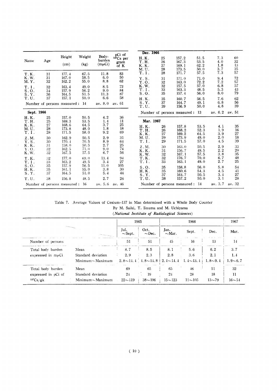| Name       | Age                            | Height<br>(cm) | Weight<br>(kg) | Body-<br>burden<br>$(m\muCi)$ | pCi of<br>$137Cs$ per<br>gram<br>of K | Dec. 1966<br>H.K.<br>T.H.<br>K.K. | 25<br>26<br>27 | 157.2<br>167.3<br>169.1         | 51.5<br>53.5<br>62.2 | 7.3<br>4.0<br>1.8 | 60<br>32<br>13 |
|------------|--------------------------------|----------------|----------------|-------------------------------|---------------------------------------|-----------------------------------|----------------|---------------------------------|----------------------|-------------------|----------------|
| T.K.       | 31                             | 177.4          | 67.5           | 11.8                          | 83                                    | M.U.<br>T.1.                      | 28<br>28       | 173.5<br>171.7                  | 50.0<br>57.5         | 3.7<br>7.3        | 35<br>57       |
| K.W.       | 31                             | 167.0          | 58.5           | 6.0                           | 50                                    | Y.S.                              | 31             | 171.0                           | 71.0                 | 9.4               | 72             |
| M.Y.       | 32                             | 162.2          | 55.0           | 8.8                           | 62                                    | Y.O.                              | 32             | 163.0                           | 72.2                 | 7, 2              | 57             |
| T. I.      | 32                             | 163.4          | 49.0           | 8.5                           | 72                                    | K.W.                              | 32             | 157.5                           | 57.0                 | 6.8               | 57             |
| S.0.       | 34                             | 157.9          | 56.2           | 9.0                           | 84                                    | T.I.                              | 33             | 163.3                           | 48.5                 | 5.3               | 43             |
| S. Y.      | 36                             | 164.5          | 51.5           | 11.3                          | 87                                    | S.0.                              | 35             | 157.4                           | 56.0                 | 8.0               | 79             |
| T.U.       | 37                             | 157.1          | 50.0           | 6.6                           | 58                                    | H.K.                              | 35             | 160.7                           | 56.5                 | 7.6               | 62             |
|            | Number of persons measured: 14 |                |                | av. 8.0                       | av. 61                                | S. Y.                             | 37             | 164.7                           | 49.1                 | 6.8               | 56             |
|            |                                |                |                |                               |                                       | T.U.                              | 39             | 156.9                           | 50.0                 | 4.8               | 39             |
| Sept. 1966 |                                |                |                |                               |                                       |                                   |                | Number of persons measured:     | -13                  | av. 6.2           | av. 51         |
| H.K.       | 25                             | 157.0          | 50.5           | 4.2                           | 36                                    |                                   |                |                                 |                      |                   |                |
| T.H.       | 25                             | 169.3          | 53.5           | 1.4                           | 11                                    | Mar. 1967                         |                |                                 |                      |                   |                |
| K.K.       | 27                             | 168.6          | 64.5           | 3.7                           | 25                                    | H.K.                              | 26             | 157.8                           | 53.5                 | 4.1               | 35             |
| M. U.      | 28                             | 173.8          | 48.0           | 1.8                           | 18                                    | T.H.                              | 26             | 168.2                           | 52.3                 | 1.9               | 16             |
| T. I.      | 28                             | 171.5          | 58.0           | 9.2                           | 69                                    | K.K.                              | 27             | 169.2                           | 64.5                 | 3.9               | 27             |
| Z.M.       | 30                             | 162.9          | 50.5           | 2.9                           | 31                                    | M. U.                             | 29             | 173.9                           | 49.0                 | 2.0               | 18             |
| Y.S.       | 30                             | 170.4          | 70.5           | 8.9                           | 64                                    | T.I.                              | 29             | 171.5                           | 57.0                 | 4.5               | 39             |
| K.K.       | 31                             | 158.0          | 50.5           | 2.7                           | 25                                    |                                   |                |                                 |                      |                   |                |
| Y.O.       | 32                             | 162.5          | 71.0           | 9.0                           | 74                                    | Z.M.                              | 30             | 163.0                           | 50.5                 | 2.9               | 33             |
| K.W.       | 32                             | 167.5          | 57.5           | 6.7                           | 56                                    | K.K.                              | 31             | 156.7                           | 49.5                 | 2.2               | 20             |
|            |                                |                |                |                               |                                       | K.W.                              | 32             | 167.1                           | 57.5                 | 3.8               | 35             |
| T.K.       | 32                             | 177.0          | 69.0           | 13.4                          | 94                                    | $\mathbf T$ . $\mathbf K$ .       | 32             | 176.7                           | 70.0                 | 6, 7              | 48             |
| T. I.      | 33                             | 163.2          | 49.5           | 3.4                           | 27                                    | T.I.                              | 33             | 163.1                           | 49.0                 | 2.7               | 25             |
| S.0.       | 35                             | 157.9          | 56.5           | 11.0                          | 105                                   | S.0.                              | 35             | 158.8                           | 56.0                 | 5.8               | 54             |
| H.K.       | 35                             | 161.1          | 55.0           | 3.8                           | 30                                    | H.K.                              | 35             | 160.6                           | 54.3                 | 4, 5              | 41             |
| S. Y.      | 37                             | 164.5          | 51.0           | 5.4                           | 44                                    | S.Y.                              | 37             | 164.7                           | 50.5                 | 3.4               | 27             |
| T.U.       | 38                             | 156.8          | 48.5           | 2.7                           | 26                                    | T.U.                              | 38             | 157.2                           | 50.0                 | 3.1               | 28             |
|            | Number of persons measured:    |                | - 16           | av. 5.6                       | av. 46                                |                                   |                | Number of persons measured : 14 |                      | av. 3.7           | av. 32         |
|            |                                |                |                |                               |                                       |                                   |                |                                 |                      |                   |                |

 $\ddot{\phantom{a}}$ 

Table 7. Average Values of Cesium-137 in Man determined with a Whole Body Counter By M. Saiki, T. Iinuma and M. Uchiyama

| The Contract of the Contract of the Contract of the Contract of the Contract of the Contract of the Contract of The Contract of The Contract of The Contract of The Contract of The Contract of The Contract of The Contract o |                    | 1965                 |                                 |                     | 1966                            |             |             |
|--------------------------------------------------------------------------------------------------------------------------------------------------------------------------------------------------------------------------------|--------------------|----------------------|---------------------------------|---------------------|---------------------------------|-------------|-------------|
|                                                                                                                                                                                                                                |                    | Jul.<br>$\sim$ Sept. | Oct.<br>$\sim$ Dec.             | Jan.<br>$\sim$ Mar. | Sept.                           | Dec.        | Mar.        |
| Number of persons                                                                                                                                                                                                              |                    | 51                   | 51                              | 45                  | 16                              | 13          | 14          |
| Total body burden                                                                                                                                                                                                              | Mean               | 8.7                  | 8.5                             | 8.1                 | 5.6                             | 6.2         | 3.7         |
| expressed in $m\mu Ci$                                                                                                                                                                                                         | Standard deviation | 2.9                  | 2.3                             | 2.8                 | 3.6                             | 2.1         | 1.4         |
|                                                                                                                                                                                                                                | $Minimum\_Maximum$ |                      | $2.8 \sim 11.4$ $4.8 \sim 14.8$ |                     | $2.4 \sim 14.4$ $1.4 \sim 13.4$ | $1.8 - 9.4$ | $1.9 - 6.7$ |
| Total body burden                                                                                                                                                                                                              | Mean               | 69                   | 65                              | 65                  | 46                              | -51         | 32          |
| expressed in pCi of                                                                                                                                                                                                            | Standard deviation | 24                   | 19                              | 24                  | 28                              | 18          | 11          |
| 137Cs/gk                                                                                                                                                                                                                       | $Minimum\_Maximum$ | $22 - 119$           | $38 - 106$                      | $15 - 123$          | $11 - 105$                      | $13 - 79$   | $16 - 54$   |

(National Institute of Radiological Sciences)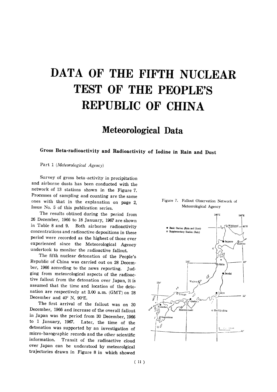# DATA OF THE FIFTH NUCLEAR TEST OF THE PEOPLE'S **REPUBLIC OF CHINA**

# Meteorological Data

### Gross Beta-radioactivity and Radioactivity of Iodine in Rain and Dust

Part 1 (Meteorological Agency)

Survey of gross beta-activity in precipitation and airborne dusts has been conducted with the network of 13 stations shown in the Figure 7. Processes of sampling and counting are the same ones with that in the explanation on page 2, Issue No. 5 of this publication series.

The results obtined during the period from 26 December, 1966 to 18 January, 1967 are shown in Table 8 and 9. Both airborne radioactivity concentrations and radioactive depositions in these period were recorded as the highest of those ever experienced since the Meteorological Agency undertook to monitor the radioactive fallout.

The fifth nuclear detonation of the People's Republic of China was carried out on 28 December, 1966 according to the news reporting. Judging from meteorological aspects of the radioactive fallout from the detonation over Japan, it is assumed that the time and location of the detonation are respectively at 3.00 a.m. (GMT) on 28 December and 40° N, 90°E.

The first arrival of the fallout was on 30 December, 1966 and increase of the overall fallout in Japan was the period from 30 December, 1966 to 1 January, 1967. Later, the time of the detonation was supported by an investigation of micro-barographic records and the other scientific information. Transit of the radioactive cloud over Japan can be understood by meteorolgical trajectories drawn in Figure 8 in which showed

#### Figure 7. Fallout Observation Network of Meteorological Agency

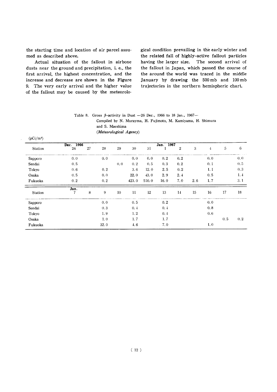the starting time and location of air parcel assumed as described above.

Actual situation of the fallout in airbone dusts near the ground and precipitation, i. e., the first arrival, the highest concentration, and the increase and decrease are shown in the Figure 9. The very early arrival and the higher value of the fallout may be caused by the meteorological condition prevailing in the early winter and the related fall of highly-active fallout particles having the larger size. The second arrival of the fallout in Japan, which passed the course of the around the world was traced in the middle January by drawing the 500 mb and 100 mb trajectories in the northern hemispheric chart.

#### Table 8. Gross  $\beta$ -activity in Dust -26 Dec., 1966 to 18 Jan., 1967-Compiled by N. Murayma, H. Fujimoto, M. Kamiyama, H. Shimura and S. Maeshima (Meteorological Agency)

 $(pCi/m^3)$ Dec. Jan. 1967<br>1 2 3  $\sqrt{5}$  $\,6$ 28 29 30 31  $\mathbf 4$ Station 26 27 Sapporo  $0.0$  $0, 0$  $0.0$  $0.0$   $0.0$   $0.0$   $0.2$   $0.2$  $(0,0, 0, 2, 0.5, 0.3, 0.2)$  $0.5$ Sendai  $0, 5$  $0.1$ Tokyo  $0.6$ 0.2 3.6 12.0 2.5 0.2  $1.1$  $0.3$ Osaka  $0.5$ 0.∩ 22.0 43.0 2.9 2.4  $0.5$  $1.4$ Fukuoka  $0.2$ 0.2 423.0 510.0 16.0 7.0 2.6  $1, 7$  $3.1$  $Jan.$  $\overline{8}$  $16\,$ 17 18 Station 9 10 11 12 13 14 15 0.0 0.5  $0.2$  $0.0$ Sapporo 0.3 0.1  $0.4$  $0.8$ Sendai Tokyo 1.9 1.2  $0.4$  $0.6$  $1.7$  $0.\,2$ 1.0 1.7  $0.5$ Osaka Fukuoka 32.0 1.67.0  $1,0$ 

 $(12)$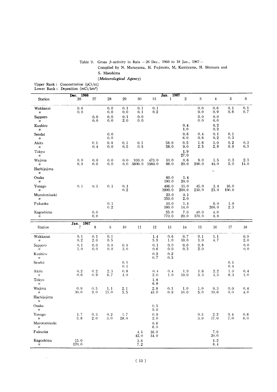#### Table 9. Gross  $\beta$ -activity in Rain - 26 Dec., 1966 to 18 Jan., 1967-Compiled by N. Murayama, H. Fujimoto, M, Kamiyama, H. Shimura and S.Maeshima (Meteorological Agency)

Upper Rank: Concentration (pCi/co Lower Rank: Deposition (mCi/

|                                   | Dec. 1966               |                |              |                |                 |                 | Jan. 1967       |                  |               |                  |                |              |
|-----------------------------------|-------------------------|----------------|--------------|----------------|-----------------|-----------------|-----------------|------------------|---------------|------------------|----------------|--------------|
| Station                           | 26                      | $27\,$         | 28           | 29             | $30\,$          | 31              | $\mathbf 1$     | $\boldsymbol{2}$ | $\sqrt{3}$    | $\boldsymbol{4}$ | 5              | $\,6\,$      |
| Wakkanai<br>11                    | 0.0<br>0.0              |                | 0.0<br>0.0   | 0.1<br>0.0     | 0.1<br>0.1      | 0.1<br>0, 2     |                 |                  | 0.0<br>0.0    | 0,6<br>0.9       | 0.1<br>$0.\,8$ | 0.1<br>0.7   |
| Sapporo<br>$\boldsymbol{\eta}$    |                         | 0.0<br>0.0     | 0.0<br>0.0   | 0.1<br>2.0     | 0.0<br>0.0      |                 |                 |                  | 0.0<br>0.0    | 0.0<br>0.0       |                |              |
| Kushiro<br>11                     |                         |                |              |                |                 |                 |                 | 0.4<br>1.0       |               | 0.2<br>0, 2      |                |              |
| Sendai<br>$\boldsymbol{\eta}$     |                         |                | 0.0<br>0, 0  |                |                 |                 |                 | 0.6<br>6.0       | 0.4<br>0.6    | 0.1<br>0, 2      | 0.1<br>0, 3    |              |
| Akita<br>$\eta$                   |                         | 0.1<br>0.4     | 0.0<br>0.0   | 0.1<br>0.5     | 0.1<br>0.5      |                 | 58.0<br>58.0    | 0.5<br>9.0       | 1.8<br>2.5    | 1.0<br>2.8       | 0.2<br>0.9     | 0.3<br>0.3   |
| Tokyo<br>11                       |                         |                |              |                |                 |                 |                 | 1.9<br>27.0      |               |                  |                |              |
| Wajima<br>11                      | 0, 0<br>0, 0            | 0.0<br>0, 0    | 0.0<br>0, 0  | 0.0<br>0, 0    | 910.0<br>5600.0 | 473.0<br>1560.0 | 10.0<br>88.0    | 0.6<br>20.0      | 9.0<br>200.0  | 1, 5<br>44.0     | 0.3<br>5.0     | 2.3<br>14.0  |
| Hachijojima<br>11                 |                         |                |              |                |                 |                 |                 |                  |               | ۰,               |                |              |
| Osaka<br>$^{\prime\prime}$        |                         |                |              |                |                 |                 | 60.0<br>190.0   | 1.4<br>20.0      |               |                  |                |              |
| Yonago<br>$\boldsymbol{\eta}$     | 0.1                     | 0, 1           | 0.1          | 0.1<br>0.2     |                 |                 | 406.0<br>3900.0 | 11.0<br>200.0    | 45.0<br>230.0 | 3.4<br>23.0      | 16.0<br>100.0  |              |
| Murotomisaki<br>11                |                         |                |              |                |                 |                 | 23.0<br>350.0   | 0.1<br>2.0       |               |                  |                |              |
| Fukuoka                           |                         |                | 0.1<br>0.2   |                |                 |                 | 10.0<br>180.0   | 1.4<br>14.0      |               | 6.0<br>200.0     | 1.9<br>2.3     |              |
| Kagoshima<br>11                   |                         | 0, 0<br>0, 0   |              |                |                 |                 | 55.0<br>770.0   | 7.0<br>20.0      | 40.0<br>170.0 | 4.0<br>8.8       |                |              |
|                                   |                         |                |              |                |                 |                 |                 |                  |               |                  |                |              |
| Station                           | $\frac{1}{7}$ Jan. 1967 | $\bf8$         | 9            | 10             | 11              | 12              | $13\,$          | 14               | 15            | 16               | $17\,$         | 18           |
| Wakkanai<br>$^{\prime\prime}$     | 0.1<br>0.2              | 0.1<br>$2.0\,$ | 0.1<br>0.5   |                |                 | 1.4<br>5.5      | 0.6<br>1.0      | 0.7<br>10.0      | 0.1<br>1.0    | 1.1<br>4.7       |                | $0.9$<br>2.0 |
| Sapporo<br>11                     | 0.1<br>1.0              | 0.0<br>0.0     | 0.0<br>0, 0  | 0.9<br>3.0     |                 | 0.1<br>0, 6     | 0.0<br>0.0      | 0.0<br>$0.\,3$   | 0.8<br>2.0    |                  |                | 0, 0<br>0, 0 |
| Kushiro<br>$^{\prime\prime}$      |                         |                |              |                |                 | 0, 2<br>0, 7    | $0,2$<br>0.3    |                  |               |                  |                |              |
| Sendai                            |                         |                |              | 0.1<br>0.1     |                 |                 |                 |                  |               |                  | 0.1<br>0, 4    |              |
| Akita<br>$^{\prime\prime}$        | 0.2<br>0.6              | $0,2\,$<br>0.9 | 2.3<br>6.7   | 0, 8<br>4.0    |                 | 0, 4<br>2.0     | 0, 4<br>1.0     | 1.9<br>19.0      | 1.6<br>5.3    | 2.2<br>3, 3      | 1.0<br>8.3     | 0, 4<br>1,0  |
| Tokyo<br>$^{\prime\prime}$        |                         |                |              |                |                 | 1.8<br>$6.8\,$  |                 |                  |               |                  |                |              |
| Wajima<br>11                      | 0.9<br>30.0             | 0.5<br>9.0     | 1, 1<br>15.0 | $2.1\,$<br>5.5 |                 | 2.8<br>43.0     | 0.1<br>0.9      | 1.0<br>10.0      | 1,0<br>5.0    | 0.3<br>10.0      | 0.0<br>0, 0    | 0.4<br>4.0   |
| Hachijojima                       |                         |                |              |                |                 |                 |                 |                  |               |                  |                |              |
| Osaka<br>$\boldsymbol{\eta}$      |                         |                |              |                |                 | 0.5<br>5.0      |                 |                  |               |                  |                |              |
| Yonago<br>11                      | 1.7<br>5.8              | 0.3<br>2.0     | 0.2<br>3.0   | 1.7<br>28.0    |                 | 0.9<br>2.0      |                 |                  | 0, 3<br>3,0   | 2.2<br>17.0      | 0.4<br>7.0     | 0.6<br>6.0   |
| Murotomisaki<br>$^{\prime\prime}$ |                         |                |              |                |                 | 0.6<br>6.0      |                 |                  |               |                  |                |              |
| Fukuoka                           |                         |                |              |                | 4.1<br>42.0     | 16.0<br>34.0    |                 |                  |               | 7.0<br>20.0      |                |              |
| Kagoshima<br>$^{\prime\prime}$    | 15.0<br>170.0           |                |              |                | 3.6<br>7.2      |                 |                 |                  |               | 1.2<br>8, 4      |                |              |

 $\ddot{\phantom{a}}$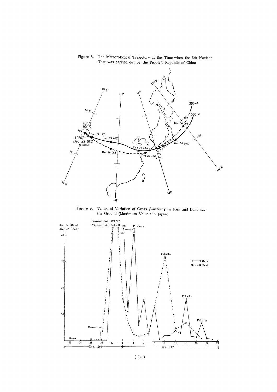

Figure 8. The Meteorological Trajectory at the Time when the 5th Nuclear Test was carried out by the People's Republic of China

Figure 9. Temporal Variation of Gross  $\beta$ -activity in Rain and Dust near the Ground (Maximum Value: in Japan)

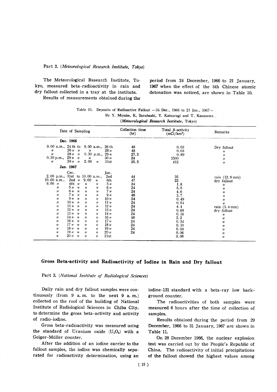#### Part 2. (Meteorological Research Institute, Tokyo)

The Meteorological Research Institute, To- period from 24 December, 1966 to 21 January. kyo, measured beta-radioactivity in rain and 1967 when the effect of the 5th Chinese atomic dry fallout collected in a tray at the institute. detonation was noticed, are shown in Table 10. Results of measurements obtained during the

| Table 10. Deposits of Radioactive Fallout -24 Dec., 1966 to 21 Jan., 1967- |
|----------------------------------------------------------------------------|
| By Y. Miyake, K. Saruhashi, Y. Katsuragi and T. Kanasawa                   |
| (Meteorological Research Institute, Tokyo)                                 |

|                                                                                                                                                                                                                                                                                                                                                                                                                                                                                                                                                                                                                                                                                                                                                                                                                                                                                                                                                                                                                                                                                                                                                                                                                                                                                                                                                                                                                             | Collection time<br>(hr)                                                                      | Total $\beta$ -activity<br>(mCi/km <sup>2</sup> )                                                                           | Remarks                                                                                                                                                                                                                                                                                                   |
|-----------------------------------------------------------------------------------------------------------------------------------------------------------------------------------------------------------------------------------------------------------------------------------------------------------------------------------------------------------------------------------------------------------------------------------------------------------------------------------------------------------------------------------------------------------------------------------------------------------------------------------------------------------------------------------------------------------------------------------------------------------------------------------------------------------------------------------------------------------------------------------------------------------------------------------------------------------------------------------------------------------------------------------------------------------------------------------------------------------------------------------------------------------------------------------------------------------------------------------------------------------------------------------------------------------------------------------------------------------------------------------------------------------------------------|----------------------------------------------------------------------------------------------|-----------------------------------------------------------------------------------------------------------------------------|-----------------------------------------------------------------------------------------------------------------------------------------------------------------------------------------------------------------------------------------------------------------------------------------------------------|
| Dec. 1966                                                                                                                                                                                                                                                                                                                                                                                                                                                                                                                                                                                                                                                                                                                                                                                                                                                                                                                                                                                                                                                                                                                                                                                                                                                                                                                                                                                                                   |                                                                                              |                                                                                                                             |                                                                                                                                                                                                                                                                                                           |
| 9.00 a.m., 24 th to 9.00 a.m., 26 th<br>$26 \,$ u u<br>28 <sub>H</sub><br>$\boldsymbol{\eta}$<br>$\boldsymbol{\eta}$<br>$28 \,$ u u<br>0.30 p.m., $29\eta$<br>11<br>0.30 p.m., $29 \text{ }\frac{\textit{n}}{\textit{n}}$ $\frac{\textit{n}}{\textit{n}}$<br>30 <sub>II</sub><br>$^{\prime\prime}$                                                                                                                                                                                                                                                                                                                                                                                                                                                                                                                                                                                                                                                                                                                                                                                                                                                                                                                                                                                                                                                                                                                          | 48<br>48<br>27.5<br>24                                                                       | 0.03<br>0.03<br>0.89<br>1500                                                                                                | Dry fallout<br>11<br>$^{\prime\prime}$<br>$\eta$                                                                                                                                                                                                                                                          |
| 2.00 n<br>$30 \, \textit{n}$ $\textit{n}$<br>31st<br>$^{\prime\prime}$<br>Jan. 1967                                                                                                                                                                                                                                                                                                                                                                                                                                                                                                                                                                                                                                                                                                                                                                                                                                                                                                                                                                                                                                                                                                                                                                                                                                                                                                                                         | 25.5                                                                                         | 412                                                                                                                         | 11                                                                                                                                                                                                                                                                                                        |
| Cec.                                                                                                                                                                                                                                                                                                                                                                                                                                                                                                                                                                                                                                                                                                                                                                                                                                                                                                                                                                                                                                                                                                                                                                                                                                                                                                                                                                                                                        |                                                                                              |                                                                                                                             |                                                                                                                                                                                                                                                                                                           |
| Jan.<br>2.00 p.m., 31st to 10.00 a.m.,<br>2nd<br>10.00 a.m.,<br>$2nd$ $\prime\prime$<br>9.00<br>4th<br>$\boldsymbol{\eta}$<br>9.00 n<br>$4th$ $n$<br>5 <sub>II</sub><br>$\boldsymbol{\eta}$<br>"<br>$511$ $n11$<br>6 <sub>II</sub><br>11<br>$\boldsymbol{\prime}$<br>$^{\prime\prime}$<br>$6n \cdot n$<br>7 <sub>II</sub><br>"<br>$^{\prime\prime}$<br>$^{\prime\prime}$<br>$7n - n$<br>$^{\prime\prime}$<br>9 <sub>II</sub><br>11<br>$\boldsymbol{\eta}$<br>$9h$ $n$<br>10n<br>$\boldsymbol{\eta}$<br>$\boldsymbol{\eta}$<br>$^{\prime\prime}$<br>$10n \cdot n$<br>11 <sub>n</sub><br>$^{\prime\prime}$<br>$^{\prime\prime}$<br>$^{\prime\prime}$<br>$11y - y$<br>12n<br>$\boldsymbol{\eta}$<br>11<br>$^{\prime\prime}$<br>12n<br>13n<br>$^{\prime\prime}$<br>$\boldsymbol{\eta}$<br>$\boldsymbol{\eta}$<br>$13 \,$ u u<br>14 <sub>II</sub><br>$^{\prime\prime}$<br>$^{\prime\prime}$<br>11<br>14n <sub>h</sub><br>16n<br>$^{\prime\prime}$<br>$\boldsymbol{\prime}$<br>$^{\prime\prime}$<br>$16n$ $n$<br>17 <sub>II</sub><br>$^{\prime\prime}$<br>$^{\prime\prime}$<br>$^{\prime\prime}$<br>$17n$ $n$<br>18n<br>$^{\prime\prime}$<br>$^{\prime\prime}$<br>11<br>$18\eta$ $\eta$<br>19 <sub>u</sub><br>$^{\prime\prime}$<br>$\boldsymbol{\eta}$<br>11<br>19n n<br>20 <sub>II</sub><br>$^{\prime\prime}$<br>$\boldsymbol{\eta}$<br>$^{\prime\prime}$<br>$20 \,$ u u<br>21st<br>11<br>$^{\prime\prime}$<br>$^{\prime\prime}$ | 44<br>47<br>24<br>24<br>24<br>48<br>24<br>24<br>24<br>24<br>24<br>48<br>24<br>24<br>24<br>24 | 35<br>22<br>1.8<br>5.5<br>4.6<br>3.7<br>0.49<br>0.54<br>4.4<br>0.68<br>0.16<br>2.2<br>0, 34<br>0.10<br>0.04<br>0.06<br>0.08 | rain (12.9 mm)<br>dry fallout<br>$^{\prime\prime}$<br>$^{\prime\prime}$<br>$^{\prime\prime}$<br>$^{\prime\prime}$<br>$\boldsymbol{H}$<br>$\boldsymbol{H}$<br>rain $(3.4 \text{ mm})$<br>dry fallout<br>$^{\prime\prime}$<br>11<br>11<br>$^{\prime\prime}$<br>11<br>$^{\prime\prime}$<br>$^{\prime\prime}$ |

#### Gross Beta-activity and Radioactivity of Iodine in Rain and Dry fallout

Daily rain and dry fallout samples were continuously (from  $9$  a.m. to the next  $9$  a.m.) collected on the roof of the building of National Institute of Radiological Sciences in Chiba City, to determine the gross beta-activity and activity of radio-iodine.

Gross beta-radioactivity was measured using the standard of Uranium oxide  $(U_3O_8)$  with a Geiger-Müller counter.

After the addition of an iodine carrier to the fallout samples, the iodine was chemically separated for radioactivity determination, using an

iodine-131 standard with a beta-ray low background counter.

The radioactivities of both samples were measured 6 hours after the time of collection of samples.

Results obtained during the period from 29 December, 1966 to 31 January, 1967 are shown in Table 11.

On 28 December 1966, the nuclear explosion test was carried out by the People's Republic of China. The radioactivity of initial precipitations of the fallout showed the highest values among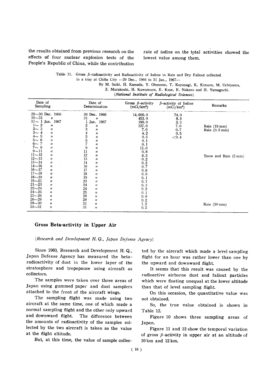the results obtained from previous research on the effects of four nuclear explosion tests of the People's Republic of China, while the contribution

rate of iodine on the total activities showed the lowest value among them.

| Table 11. Gross $\beta$ -radioactivity and Radioactivity of Iodine in Rain and Dry Fallout collected |  |
|------------------------------------------------------------------------------------------------------|--|
| in a trav at Chiba City $-29$ Dec., 1966 to 31 Jan., 1967-                                           |  |
| By M. Saiki, H. Kamada, Y. Ohmomo, T. Koyanagi, K. Kimura, M. Uchiyama,                              |  |

Z. Murakoshi, H. Kawamura, E. Kase, E. Nakano and H. Yamaguchi. (National Institute of Radiological Sciences)

| Rain $(19 \text{ mm})$<br>Rain $(0.5 \text{ mm})$ |
|---------------------------------------------------|
|                                                   |
|                                                   |
|                                                   |
|                                                   |
|                                                   |
|                                                   |
|                                                   |
|                                                   |
|                                                   |
|                                                   |
|                                                   |
| Snow and Rain (5 mm)                              |
|                                                   |
|                                                   |
|                                                   |
|                                                   |
|                                                   |
|                                                   |
|                                                   |
|                                                   |
|                                                   |
|                                                   |
|                                                   |
|                                                   |
| Rain $(30 \text{ mm})$                            |
|                                                   |
|                                                   |

#### Gross Beta-activity in Upper Air

(Research and Development H.Q., Japan Defense Agency)

Since 1960, Research and Development H.Q., Japan Defense Agency has measured the betaradioactivity of dust in the lower layer of the stratosphere and tropopause using aircraft as collectors.

The samples were taken over three areas of Japan using gummed paper and dust samplers attached to the front of the aircraft wings.

The sampling flight was made using two aircraft at the same time, one of which made a normal sampling flight and the other only upward and downward flight. The difference between the amounts of radioactivity of the samples collected by the two aircraft is taken as the value at the flight altitude.

But, at this time, the value of sample collec-

ted by the aircraft which made a level sampling flight for an hour was rather lower than one by the upward and downwa

It seems that this result was caused by the radioactive airborne dust and fallout particles which were floating unequal at the lower altitude than that of level sampling flight.

On this occasion, the quantitative value was not obtained.

So, the true value obtained is shown in Table 12.

Figure 10 shows three sampling areas of Japan.

Figure 11 and 12 show the temporal variation of gross  $\beta$ -activity in upper air at an altitude of 10 km and 12 km.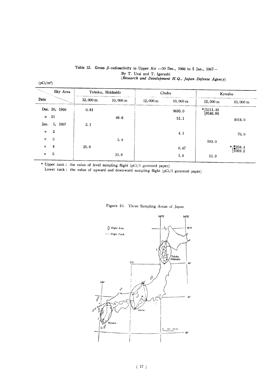#### Table 12. Gross  $\beta$ -radioactivity in Upper Air -30 Dec., 1966 to 5 Jan., 1967-By T. Urai and T. Igarashi (Research and Development H.Q., Japan Defense Agency)

 $(pCi/m^2)$ 

|                     | Sky Area         |                    | Tohoku, Hokkaido   |                    | Chubu              |                            | Kyushu                                            |
|---------------------|------------------|--------------------|--------------------|--------------------|--------------------|----------------------------|---------------------------------------------------|
| Date                |                  | $12,000 \text{ m}$ | $10,000 \text{ m}$ | $12,000 \text{ m}$ | $10,000 \text{ m}$ | $12,000 \text{ m}$         | $10,000 \text{ m}$                                |
|                     | Dec. 30, 1966    | 0.81               |                    |                    | 9693.0             | $*$ (5311, 45)<br>18546.86 |                                                   |
| $\boldsymbol{\eta}$ | 31               |                    | 46.6               |                    | 51.1               |                            | 4014.0                                            |
| Jan.                | 1, 1967          | 2.1                |                    |                    |                    |                            |                                                   |
| $^{\prime\prime}$   | $\boldsymbol{2}$ |                    |                    |                    | 4.1                |                            | 76.0                                              |
| $\boldsymbol{\eta}$ | 3                |                    | 5.9                |                    |                    | 593.0                      |                                                   |
| $^{\prime\prime}$   | 4                | 25.8               |                    |                    | 0.47               |                            | $*$ $\begin{matrix} 258.4 \\ 1059.2 \end{matrix}$ |
| $\boldsymbol{\eta}$ | 5                |                    | 31.8               |                    | 1.4                | 51.9                       |                                                   |

\* Upper rank : the value of level sampling flight (pCi/l gummed paper)

Lower rank: the value of upward and downward sampling flight (pCi/1 gummed paper)



#### Figure 10. Three Sampling Areas of Japan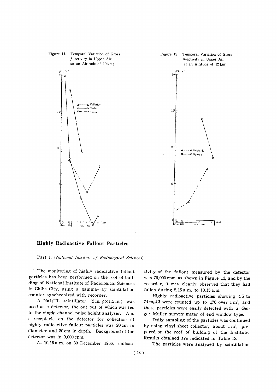

#### **Highly Radioactive Fallout Particles**

Part 1. (National Institute of Radiological Sciences)

The monitoring of highly radioactive fallout particles has been performed on the roof of building of National Institute of Radiological Sciences in Chiba City, using a gamma-ray scintillation counter synchronized with recorder.

A NaI(Tl) scintillator  $(2 \text{ in. } \phi \times 1.5 \text{ in.})$  was used as a detector, the out put of which was fed to the single channel pulse height analyser. And a receptacle on the detector for collection of highly radioactive fallout particles was 20 cm in diameter and 30cm in depth. Background of the detector was in 9,000 cpm.

At 10.15 a.m. on 30 December 1966, radioac-

tivity of the fallout measured by the detector was 75,000 cpm as shown in Figure 13, and by the recorder, it was clearly observed that they had fallen during 5.15 a.m. to 10.15 a.m.

Highly radioactive particles showing 4.5 to  $74 \text{ m}\mu\text{Ci}$  were counted up to 176 over  $1 \text{ m}^2$ , and those particles were easily detected with a Geiger-Müller survey meter of end window type.

Daily sampling of the particles was continued by using vinyl sheet collector, about 1 m<sup>2</sup>, prepared on the roof of building of the Institute. Results obtained are indicated in Table 13.

The particles were analyzed by scintillation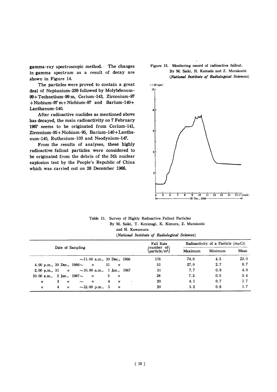The changes gamma-ray spectroscopic method. in gamma spectrum as a result of decay are shown in Figure 14.

The particles were proved to contain a great deal of Neptunium-239 followed by Molybdenum-99+Technetium-99 m, Cerium-143, Zirconium-97  $+$ Niobium-97 m + Niobium-97 and Barium-140+ Lanthanum-140.

After radioactive nuclides as mentioned above has decayed, the main radioactivity on 7 February 1967 seems to be originated from Cerium-141, Zirconium-95+Niobium-95, Barium-140+Lanthanum-140, Ruthenium-103 and Neodynium-147.

From the results of analyses, these highly radioactive fallout particles were considered to be originated from the debris of the 5th nuclear explosion test by the People's Republic of China which was carried out on 28 December 1966.





Table 13. Survey of Highly Radioactive Fallout Particles By M. Saiki, T. Koyanagi, K. Kimura, Z. Murakoshi and H. Kawamura (National Institute of Radiological Sciences)

|                                                 |    |                  |                      |                   |                                  |                               |                   |           | Fall Rate | Radioactivity of a Particle $(m\mu Ci)$ |     |      |  |
|-------------------------------------------------|----|------------------|----------------------|-------------------|----------------------------------|-------------------------------|-------------------|-----------|-----------|-----------------------------------------|-----|------|--|
| Date of Sampling                                |    |                  |                      |                   |                                  | /number of\<br>$particle/m^2$ | Maximum           | Minimum   | Mean      |                                         |     |      |  |
|                                                 |    |                  |                      |                   | $\sim$ 11.00 a.m., 30 Dec., 1966 |                               |                   |           | 176       | 74.0                                    | 4.5 | 23.0 |  |
| 4.00 p.m., 30 Dec., $1966 \sim \frac{1}{1966}$  |    |                  |                      |                   |                                  | 31                            | $^{\prime\prime}$ |           | 51        | 27.0                                    | 2.7 | 9,7  |  |
| 2.00 p.m., 31 $y \sim 10.00$ a.m., 1 Jan., 1967 |    |                  |                      |                   |                                  |                               |                   |           | 31        | 7.7                                     | 0.9 | 4.0  |  |
| 10.00 a.m., 2 Jan., $1967 \sim$                 |    |                  |                      | $\mathbf{u}$      |                                  |                               | $3 \frac{1}{2}$   |           | 28        | 7.2                                     | 0.5 | 3.4  |  |
| $\boldsymbol{H}$                                | -3 | ,,               | $\sim$               | $^{\prime\prime}$ |                                  | 4                             | $^{\prime\prime}$ | $\bullet$ | 20        | 4.1                                     | 0.7 | 1.7  |  |
| 11                                              | 4  | $\boldsymbol{H}$ | $\sim$ 12,00 p.m., 5 |                   |                                  |                               | $\overline{ }$    |           | 20        | 3.2                                     | 0.6 | 1.7  |  |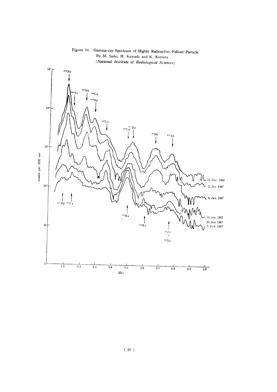

Figure 14. Gamma-ray Spectrum of Highly Radioactive Fallout Particle By M. Saiki, H. Kamada and K. Kimura

 $\hat{\mathcal{A}}$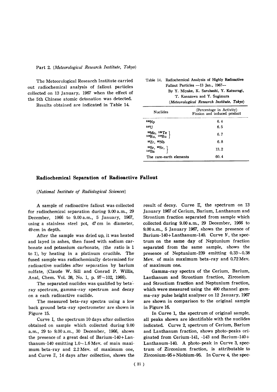The Meteorological Research Institute carried out radiochemical analysis of fallout particles collected on 13 January, 1967 when the effect of the 5th Chinese atomic detonation was detected.

Results obtained are indicated in Table 14.

| Table 14. Radiochemical Analysis of Highly Radioactive |
|--------------------------------------------------------|
| Fallout Particles $-13$ Jan., 1967-                    |
| By Y. Miyake, K. Saruhashi, Y. Katsuragi,              |
| T. Kanazawa and Y. Sugimura                            |
| (Meteorological Research Institute, Tokyo)             |
| (Percentage in Activity)                               |

| <b>Nuclides</b>                                                                                           | (Percentage in Activity)<br>Fission and induced product |  |  |
|-----------------------------------------------------------------------------------------------------------|---------------------------------------------------------|--|--|
| 339Np                                                                                                     | 6.4                                                     |  |  |
| 237TT                                                                                                     | 6.5                                                     |  |  |
| $\begin{array}{c}\n ^{99}\text{Mo}, \ ^{132}\text{Te} \\ ^{103}\text{Ru}, \ ^{106}\text{Ru}\n\end{array}$ | 6.7                                                     |  |  |
| $95Zr$ , $95Nb$                                                                                           | 6.8                                                     |  |  |
| $\begin{array}{c} 89{\text{Sr}}, 99{\text{Sr}}, \\ 140{\text{Ba}} \end{array}$                            | 13.2                                                    |  |  |
| The rare-earth elements                                                                                   | 60.4                                                    |  |  |

#### Radiochemical Separation of Radioactive Fallout

(National Institute of Radiological Sciences)

A sample of radioactive fallout was collected for radiochemical separation during 9.00 a.m., 29 December, 1966 to 9.00 a.m., 5 January, 1967, using a stainless steel pot, 47 cm in diameter, 49 cm in depth.

After the sample was dried up, it was heated and layed in ashes, then fused with sodium carbonate and potassium carbonate, (the ratio is 1 to 1), by heating in a platinum crucible. The fused sample was radiochemically determined for radioactive nuclides after separation by barium sulfate, (Claude W. Sill and Conrad P. Willis, Anal, Chem. Vol. 38, No. 1, p. 97~102, 1966).

The separated nuclides was qualified by betaray spectrum, gamma-ray spectrum and decay on a each radioactive nuclide.

The measured beta-ray spectra using a low back ground beta-ray spectrometer are shown in Figure 15.

Curve I. the spectrum 10 days after collection obtained on sample which collected during 9.00 a.m., 29 to 9.00 a.m., 30 December, 1966, shows the presence of a great deal of Barium-140+Lanthanum-140 emitting  $1.0 \sim 1.6$  Mev. of main maximum beta-ray and 2.2 Mev. of maximum one, and Curve II, 14 days after collection, shows the

result of decay. Curve  $\mathbb{I}$ , the spectrum on 13 January 1967 of Cerium, Barium, Lanthanum and Strontium fraction separated from sample which collected during 9.00 a.m., 29 December, 1966 to 9.00 a.m., 5 January 1967, shows the presence of Barium-140+Lanthanum-140. Curve N, the spectrum on the same day of Neptunium fraction separated from the same sample, shows the presence of Neptunium-239 emitting  $0.33 \sim 0.38$ Mev. of main maximum beta-ray and 0.72 Mev. of maximum one.

Gamma-ray spectra of the Cerium, Barium, Lanthanum and Strontium fraction, Zirconium and Strontium fraction and Neptunium fraction, which were measured using the 400 channel gamma-ray pulse height analyser on 12 January, 1967 are shown in comparison to the original sample in Figure 16.

In Curve 1, the spectrum of original sample, all peaks shown are identifiable with the nuclides indicated. Curve 2, spectrum of Cerium, Barium and Lanthanum fraction, shows photo-peaks originated from Cerium-141, -143 and Barium-140+ Lanthanum-140. A photo-peak in Curve 3, spectrum of Zirconium fraction, is attributable to Zirconium-95+Niobium-95. In Curve 4, the spec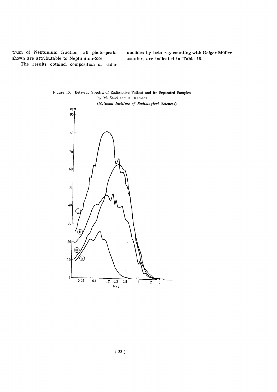trum of Neptunium fraction, all photo-peaks shown are attributable to Neptunium-239.

nuclides by beta-ray counting with Geiger Müller counter, are indicated in Table 15.

The results obtaind, composition of radio-



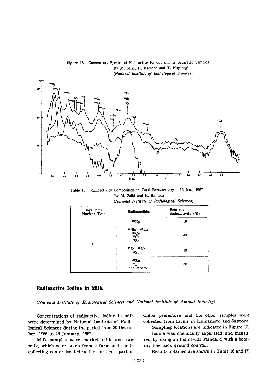

Figure 16. Gamma-ray Spectra of Radioactive Fallout and its Separated Samples By M. Saiki, H. Kamada and T. Koyanagi (National Institute of Radiological Sciences)

Table 15. Radioactivity Composition in Total Beta-activity -12 Jan., 1967-By M. Saiki and H. Kamada (National Institute of Radiological Sciences)

| Days after<br>Nuclear Test | Radionuclides                             | Beta-ray<br>Radioactivity (%) |
|----------------------------|-------------------------------------------|-------------------------------|
| 15                         | <sup>239</sup> Np                         | 16                            |
|                            | $140Ba + 140La$<br>141Ce<br>143Ce<br>89Sr | 39                            |
|                            | $^{95}Zr + ^{95}Nb$<br>89Sr               | 19                            |
|                            | 10 <sub>3</sub> Ru<br>131 J<br>and others | 26                            |

#### Radioactive Iodine in Milk

(National Institute of Radiological Sciences and National Institute of Animal Industry)

Concentrations of radioactive iodine in milk were determined by National Institute of Radiological Sciences during the period from 30 December, 1966 to 26 January, 1967.

Milk samples were market milk and raw milk, which were taken from a farm and a milk collecting center located in the northern part of

Chiba prefecture and the other samples were collected from farms in Kumamoto and Sapporo. Sampling locations are indicated in Figure 17.

Iodine was chemically separated and measured by using an Iodine-131 standard with a betaray low back ground counter.

Results obtained are shown in Table 16 and 17.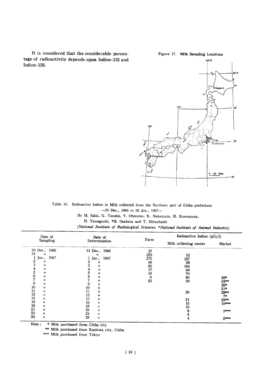It is considered that the considerable percentage of radioactivity depends upon Iodine-132 and Iodine-133.

Figure 17. Milk Sampling Locations



Table 16. Radioactive Iodine in Milk collected from the Northern part of Chiba prefecture -30 Dec., 1966 to 26 Jan., 1967-

By M. Saiki, G. Tanaka, Y. Ohmomo, K. Nakamura, H. Kawamura,

H. Yamaguchi, \*H. Danbara and T. Mitsuhashi

(National Institute of Radiological Sciences, \*National Institute of Animal Industry)

|                                                                                               | Date of<br>Sampling                                                                                                                                                                                                                            | Date of<br>Determination                                                                                                                                                                                  | Farm                                                | Radioactive Iodine (pCi/l)                                                  |                                                                                |
|-----------------------------------------------------------------------------------------------|------------------------------------------------------------------------------------------------------------------------------------------------------------------------------------------------------------------------------------------------|-----------------------------------------------------------------------------------------------------------------------------------------------------------------------------------------------------------|-----------------------------------------------------|-----------------------------------------------------------------------------|--------------------------------------------------------------------------------|
|                                                                                               |                                                                                                                                                                                                                                                |                                                                                                                                                                                                           |                                                     | Milk collecting center                                                      | Market                                                                         |
| 31<br>$\frac{2}{3}$<br>$\frac{4}{5}$<br>6<br>7<br>9<br>10<br>11<br>12<br>13<br>16<br>18<br>21 | 30 Dec., 1966<br>$^{\prime\prime}$<br>Jan., 1967<br>$\boldsymbol{\eta}$<br>$^{\prime\prime}$<br>"<br>$^{\prime\prime}$<br>11<br>11<br>$^{\prime\prime}$<br>$^{\prime\prime}$<br>$^{\prime\prime}$<br>11<br>11<br>11<br>11<br>$^{\prime\prime}$ | 31 Dec., 1966<br>11<br>1 Jan., 1967<br>11<br>"<br>11<br>"<br>"<br>"<br>11<br>10<br>"<br>11<br>$^{\prime\prime}$<br>12<br>11<br>13<br>$^{\prime\prime}$<br>16<br>11<br>18<br>11<br>23<br>$^{\prime\prime}$ | 27<br>225<br>275<br>68<br>20<br>17<br>10<br>6<br>23 | 33<br>167<br>26<br>164<br>69<br>70<br>80<br>58<br>26<br>21<br>15<br>10<br>6 | $25*$<br>63**<br>$26*$<br>$21*$<br>29**<br>$7*$<br>$29**$<br>$10***$<br>$3***$ |
| 23<br>26                                                                                      | $\boldsymbol{\eta}$<br>11                                                                                                                                                                                                                      | 24<br>$^{\prime\prime}$<br>28<br>$^{\prime\prime}$                                                                                                                                                        |                                                     |                                                                             | $2***$                                                                         |

\* Milk purchased from Chiba city Note;

\*\* Milk purchased from Kashiwa city, Chiba

\*\*\* Milk purchased from Tokyo